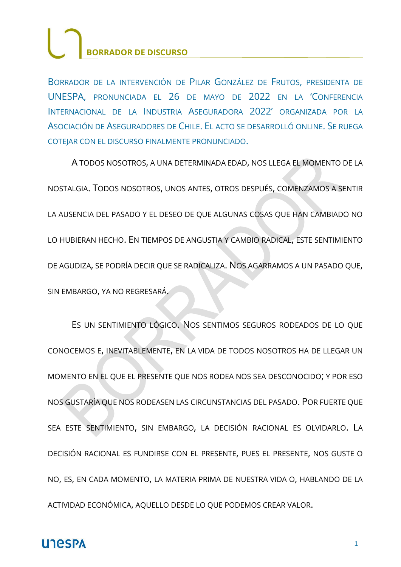BORRADOR DE LA INTERVENCIÓN DE PILAR GONZÁLEZ DE FRUTOS, PRESIDENTA DE UNESPA, PRONUNCIADA EL 26 DE MAYO DE 2022 EN LA 'CONFERENCIA INTERNACIONAL DE LA INDUSTRIA ASEGURADORA 2022' ORGANIZADA POR LA ASOCIACIÓN DE ASEGURADORES DE CHILE. EL ACTO SE DESARROLLÓ ONLINE. SE RUEGA COTEJAR CON EL DISCURSO FINALMENTE PRONUNCIADO.

A TODOS NOSOTROS, A UNA DETERMINADA EDAD, NOS LLEGA EL MOMENTO DE LA NOSTALGIA. TODOS NOSOTROS, UNOS ANTES, OTROS DESPUÉS, COMENZAMOS A SENTIR LA AUSENCIA DEL PASADO Y EL DESEO DE QUE ALGUNAS COSAS QUE HAN CAMBIADO NO LO HUBIERAN HECHO. EN TIEMPOS DE ANGUSTIA Y CAMBIO RADICAL, ESTE SENTIMIENTO DE AGUDIZA, SE PODRÍA DECIR QUE SE RADICALIZA. NOS AGARRAMOS A UN PASADO QUE, SIN EMBARGO, YA NO REGRESARÁ.

ES UN SENTIMIENTO LÓGICO. NOS SENTIMOS SEGUROS RODEADOS DE LO QUE CONOCEMOS E, INEVITABLEMENTE, EN LA VIDA DE TODOS NOSOTROS HA DE LLEGAR UN MOMENTO EN EL QUE EL PRESENTE QUE NOS RODEA NOS SEA DESCONOCIDO; Y POR ESO NOS GUSTARÍA QUE NOS RODEASEN LAS CIRCUNSTANCIAS DEL PASADO. POR FUERTE QUE SEA ESTE SENTIMIENTO, SIN EMBARGO, LA DECISIÓN RACIONAL ES OLVIDARLO. LA DECISIÓN RACIONAL ES FUNDIRSE CON EL PRESENTE, PUES EL PRESENTE, NOS GUSTE O NO, ES, EN CADA MOMENTO, LA MATERIA PRIMA DE NUESTRA VIDA O, HABLANDO DE LA ACTIVIDAD ECONÓMICA, AQUELLO DESDE LO QUE PODEMOS CREAR VALOR.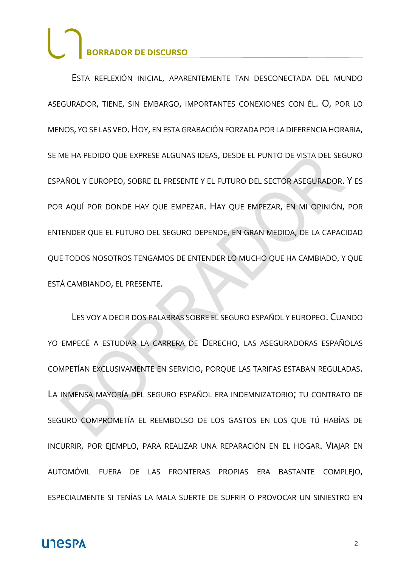ESTA REFLEXIÓN INICIAL, APARENTEMENTE TAN DESCONECTADA DEL MUNDO ASEGURADOR, TIENE, SIN EMBARGO, IMPORTANTES CONEXIONES CON ÉL. O, POR LO MENOS, YO SE LAS VEO.HOY, EN ESTA GRABACIÓN FORZADA POR LA DIFERENCIA HORARIA, SE ME HA PEDIDO QUE EXPRESE ALGUNAS IDEAS, DESDE EL PUNTO DE VISTA DEL SEGURO ESPAÑOL Y EUROPEO, SOBRE EL PRESENTE Y EL FUTURO DEL SECTOR ASEGURADOR. Y ES POR AQUÍ POR DONDE HAY QUE EMPEZAR. HAY QUE EMPEZAR, EN MI OPINIÓN, POR ENTENDER QUE EL FUTURO DEL SEGURO DEPENDE, EN GRAN MEDIDA, DE LA CAPACIDAD QUE TODOS NOSOTROS TENGAMOS DE ENTENDER LO MUCHO QUE HA CAMBIADO, Y QUE ESTÁ CAMBIANDO, EL PRESENTE.

LES VOY A DECIR DOS PALABRAS SOBRE EL SEGURO ESPAÑOL Y EUROPEO. CUANDO YO EMPECÉ A ESTUDIAR LA CARRERA DE DERECHO, LAS ASEGURADORAS ESPAÑOLAS COMPETÍAN EXCLUSIVAMENTE EN SERVICIO, PORQUE LAS TARIFAS ESTABAN REGULADAS. LA INMENSA MAYORÍA DEL SEGURO ESPAÑOL ERA INDEMNIZATORIO; TU CONTRATO DE SEGURO COMPROMETÍA EL REEMBOLSO DE LOS GASTOS EN LOS QUE TÚ HABÍAS DE INCURRIR, POR EJEMPLO, PARA REALIZAR UNA REPARACIÓN EN EL HOGAR. VIAJAR EN AUTOMÓVIL FUERA DE LAS FRONTERAS PROPIAS ERA BASTANTE COMPLEJO, ESPECIALMENTE SI TENÍAS LA MALA SUERTE DE SUFRIR O PROVOCAR UN SINIESTRO EN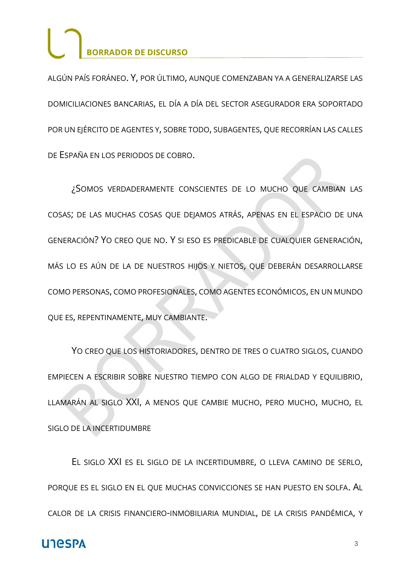ALGÚN PAÍS FORÁNEO. Y, POR ÚLTIMO, AUNQUE COMENZABAN YA A GENERALIZARSE LAS DOMICILIACIONES BANCARIAS, EL DÍA A DÍA DEL SECTOR ASEGURADOR ERA SOPORTADO POR UN EJÉRCITO DE AGENTES Y, SOBRE TODO, SUBAGENTES, QUE RECORRÍAN LAS CALLES DE ESPAÑA EN LOS PERIODOS DE COBRO.

¿SOMOS VERDADERAMENTE CONSCIENTES DE LO MUCHO QUE CAMBIAN LAS COSAS; DE LAS MUCHAS COSAS QUE DEJAMOS ATRÁS, APENAS EN EL ESPACIO DE UNA GENERACIÓN? YO CREO QUE NO. Y SI ESO ES PREDICABLE DE CUALQUIER GENERACIÓN, MÁS LO ES AÚN DE LA DE NUESTROS HIJOS Y NIETOS, QUE DEBERÁN DESARROLLARSE COMO PERSONAS, COMO PROFESIONALES, COMO AGENTES ECONÓMICOS, EN UN MUNDO QUE ES, REPENTINAMENTE, MUY CAMBIANTE.

YO CREO QUE LOS HISTORIADORES, DENTRO DE TRES O CUATRO SIGLOS, CUANDO EMPIECEN A ESCRIBIR SOBRE NUESTRO TIEMPO CON ALGO DE FRIALDAD Y EQUILIBRIO, LLAMARÁN AL SIGLO XXI, A MENOS QUE CAMBIE MUCHO, PERO MUCHO, MUCHO, EL SIGLO DE LA INCERTIDUMBRE

EL SIGLO XXI ES EL SIGLO DE LA INCERTIDUMBRE, O LLEVA CAMINO DE SERLO, PORQUE ES EL SIGLO EN EL QUE MUCHAS CONVICCIONES SE HAN PUESTO EN SOLFA. AL CALOR DE LA CRISIS FINANCIERO-INMOBILIARIA MUNDIAL, DE LA CRISIS PANDÉMICA, Y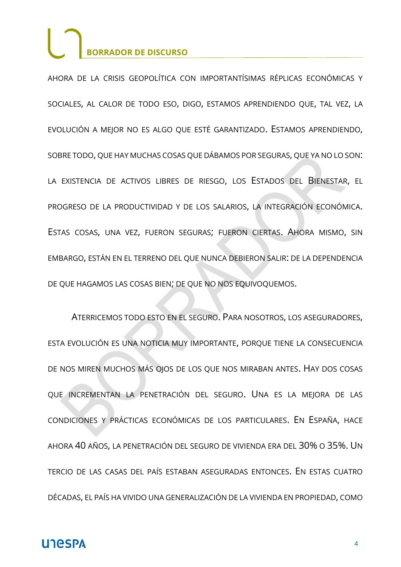AHORA DE LA CRISIS GEOPOLÍTICA CON IMPORTANTÍSIMAS RÉPLICAS ECONÓMICAS Y SOCIALES, AL CALOR DE TODO ESO, DIGO, ESTAMOS APRENDIENDO QUE, TAL VEZ, LA EVOLUCIÓN A MEJOR NO ES ALGO QUE ESTÉ GARANTIZADO. ESTAMOS APRENDIENDO, SOBRE TODO, QUE HAY MUCHAS COSAS QUE DÁBAMOS POR SEGURAS, QUE YA NO LO SON: LA EXISTENCIA DE ACTIVOS LIBRES DE RIESGO, LOS ESTADOS DEL BIENESTAR, EL PROGRESO DE LA PRODUCTIVIDAD Y DE LOS SALARIOS, LA INTEGRACIÓN ECONÓMICA. ESTAS COSAS, UNA VEZ, FUERON SEGURAS; FUERON CIERTAS. AHORA MISMO, SIN EMBARGO, ESTÁN EN EL TERRENO DEL QUE NUNCA DEBIERON SALIR: DE LA DEPENDENCIA DE QUE HAGAMOS LAS COSAS BIEN; DE QUE NO NOS EQUIVOQUEMOS.

ATERRICEMOS TODO ESTO EN EL SEGURO. PARA NOSOTROS, LOS ASEGURADORES, ESTA EVOLUCIÓN ES UNA NOTICIA MUY IMPORTANTE, PORQUE TIENE LA CONSECUENCIA DE NOS MIREN MUCHOS MÁS OJOS DE LOS QUE NOS MIRABAN ANTES. HAY DOS COSAS QUE INCREMENTAN LA PENETRACIÓN DEL SEGURO. UNA ES LA MEJORA DE LAS CONDICIONES Y PRÁCTICAS ECONÓMICAS DE LOS PARTICULARES. EN ESPAÑA, HACE AHORA 40 AÑOS, LA PENETRACIÓN DEL SEGURO DE VIVIENDA ERA DEL 30% O 35%. UN TERCIO DE LAS CASAS DEL PAÍS ESTABAN ASEGURADAS ENTONCES. EN ESTAS CUATRO DÉCADAS, EL PAÍS HA VIVIDO UNA GENERALIZACIÓN DE LA VIVIENDA EN PROPIEDAD, COMO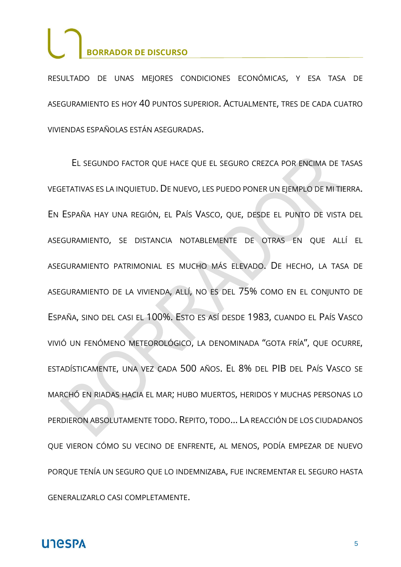RESULTADO DE UNAS MEJORES CONDICIONES ECONÓMICAS, Y ESA TASA DE ASEGURAMIENTO ES HOY 40 PUNTOS SUPERIOR. ACTUALMENTE, TRES DE CADA CUATRO VIVIENDAS ESPAÑOLAS ESTÁN ASEGURADAS.

EL SEGUNDO FACTOR QUE HACE QUE EL SEGURO CREZCA POR ENCIMA DE TASAS VEGETATIVAS ES LA INQUIETUD. DE NUEVO, LES PUEDO PONER UN EJEMPLO DE MI TIERRA. EN ESPAÑA HAY UNA REGIÓN, EL PAÍS VASCO, QUE, DESDE EL PUNTO DE VISTA DEL ASEGURAMIENTO, SE DISTANCIA NOTABLEMENTE DE OTRAS EN QUE ALLÍ EL ASEGURAMIENTO PATRIMONIAL ES MUCHO MÁS ELEVADO. DE HECHO, LA TASA DE ASEGURAMIENTO DE LA VIVIENDA, ALLÍ, NO ES DEL 75% COMO EN EL CONJUNTO DE ESPAÑA, SINO DEL CASI EL 100%. ESTO ES ASÍ DESDE 1983, CUANDO EL PAÍS VASCO VIVIÓ UN FENÓMENO METEOROLÓGICO, LA DENOMINADA "GOTA FRÍA", QUE OCURRE, ESTADÍSTICAMENTE, UNA VEZ CADA 500 AÑOS. EL 8% DEL PIB DEL PAÍS VASCO SE MARCHÓ EN RIADAS HACIA EL MAR; HUBO MUERTOS, HERIDOS Y MUCHAS PERSONAS LO PERDIERON ABSOLUTAMENTE TODO. REPITO, TODO… LA REACCIÓN DE LOS CIUDADANOS QUE VIERON CÓMO SU VECINO DE ENFRENTE, AL MENOS, PODÍA EMPEZAR DE NUEVO PORQUE TENÍA UN SEGURO QUE LO INDEMNIZABA, FUE INCREMENTAR EL SEGURO HASTA GENERALIZARLO CASI COMPLETAMENTE.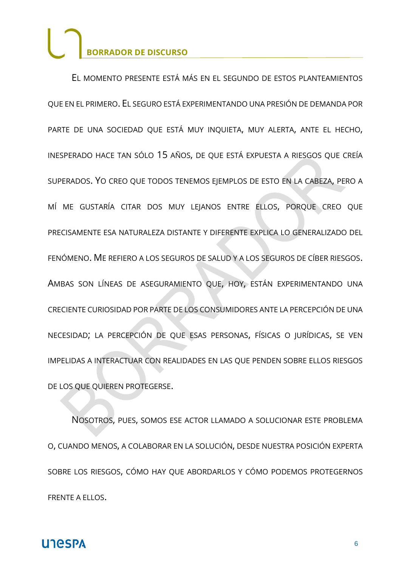EL MOMENTO PRESENTE ESTÁ MÁS EN EL SEGUNDO DE ESTOS PLANTEAMIENTOS QUE EN EL PRIMERO. EL SEGURO ESTÁ EXPERIMENTANDO UNA PRESIÓN DE DEMANDA POR PARTE DE UNA SOCIEDAD QUE ESTÁ MUY INQUIETA, MUY ALERTA, ANTE EL HECHO, INESPERADO HACE TAN SÓLO 15 AÑOS, DE QUE ESTÁ EXPUESTA A RIESGOS QUE CREÍA SUPERADOS. YO CREO QUE TODOS TENEMOS EJEMPLOS DE ESTO EN LA CABEZA, PERO A MÍ ME GUSTARÍA CITAR DOS MUY LEJANOS ENTRE ELLOS, PORQUE CREO QUE PRECISAMENTE ESA NATURALEZA DISTANTE Y DIFERENTE EXPLICA LO GENERALIZADO DEL FENÓMENO. ME REFIERO A LOS SEGUROS DE SALUD Y A LOS SEGUROS DE CÍBER RIESGOS. AMBAS SON LÍNEAS DE ASEGURAMIENTO QUE, HOY, ESTÁN EXPERIMENTANDO UNA CRECIENTE CURIOSIDAD POR PARTE DE LOS CONSUMIDORES ANTE LA PERCEPCIÓN DE UNA NECESIDAD; LA PERCEPCIÓN DE QUE ESAS PERSONAS, FÍSICAS O JURÍDICAS, SE VEN IMPELIDAS A INTERACTUAR CON REALIDADES EN LAS QUE PENDEN SOBRE ELLOS RIESGOS DE LOS QUE QUIEREN PROTEGERSE.

NOSOTROS, PUES, SOMOS ESE ACTOR LLAMADO A SOLUCIONAR ESTE PROBLEMA O, CUANDO MENOS, A COLABORAR EN LA SOLUCIÓN, DESDE NUESTRA POSICIÓN EXPERTA SOBRE LOS RIESGOS, CÓMO HAY QUE ABORDARLOS Y CÓMO PODEMOS PROTEGERNOS FRENTE A ELLOS.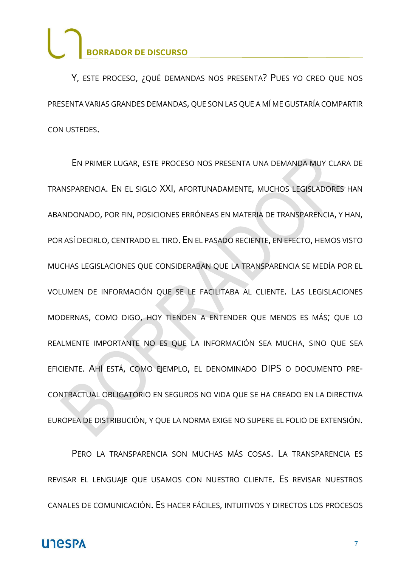Y, ESTE PROCESO, ¿QUÉ DEMANDAS NOS PRESENTA? PUES YO CREO QUE NOS PRESENTA VARIAS GRANDES DEMANDAS, QUE SON LAS QUE A MÍ ME GUSTARÍA COMPARTIR CON USTEDES.

EN PRIMER LUGAR, ESTE PROCESO NOS PRESENTA UNA DEMANDA MUY CLARA DE TRANSPARENCIA. EN EL SIGLO XXI, AFORTUNADAMENTE, MUCHOS LEGISLADORES HAN ABANDONADO, POR FIN, POSICIONES ERRÓNEAS EN MATERIA DE TRANSPARENCIA, Y HAN, POR ASÍ DECIRLO, CENTRADO EL TIRO. EN EL PASADO RECIENTE, EN EFECTO, HEMOS VISTO MUCHAS LEGISLACIONES QUE CONSIDERABAN QUE LA TRANSPARENCIA SE MEDÍA POR EL VOLUMEN DE INFORMACIÓN QUE SE LE FACILITABA AL CLIENTE. LAS LEGISLACIONES MODERNAS, COMO DIGO, HOY TIENDEN A ENTENDER QUE MENOS ES MÁS; QUE LO REALMENTE IMPORTANTE NO ES QUE LA INFORMACIÓN SEA MUCHA, SINO QUE SEA EFICIENTE. AHÍ ESTÁ, COMO EJEMPLO, EL DENOMINADO DIPS O DOCUMENTO PRE-CONTRACTUAL OBLIGATORIO EN SEGUROS NO VIDA QUE SE HA CREADO EN LA DIRECTIVA EUROPEA DE DISTRIBUCIÓN, Y QUE LA NORMA EXIGE NO SUPERE EL FOLIO DE EXTENSIÓN.

PERO LA TRANSPARENCIA SON MUCHAS MÁS COSAS. LA TRANSPARENCIA ES REVISAR EL LENGUAJE QUE USAMOS CON NUESTRO CLIENTE. ES REVISAR NUESTROS CANALES DE COMUNICACIÓN. ES HACER FÁCILES, INTUITIVOS Y DIRECTOS LOS PROCESOS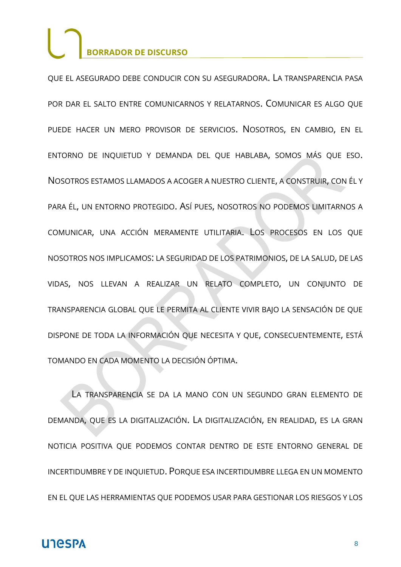QUE EL ASEGURADO DEBE CONDUCIR CON SU ASEGURADORA. LA TRANSPARENCIA PASA POR DAR EL SALTO ENTRE COMUNICARNOS Y RELATARNOS. COMUNICAR ES ALGO QUE PUEDE HACER UN MERO PROVISOR DE SERVICIOS. NOSOTROS, EN CAMBIO, EN EL ENTORNO DE INQUIETUD Y DEMANDA DEL QUE HABLABA, SOMOS MÁS QUE ESO. NOSOTROS ESTAMOS LLAMADOS A ACOGER A NUESTRO CLIENTE, A CONSTRUIR, CON ÉL Y PARA ÉL, UN ENTORNO PROTEGIDO. ASÍ PUES, NOSOTROS NO PODEMOS LIMITARNOS A COMUNICAR, UNA ACCIÓN MERAMENTE UTILITARIA. LOS PROCESOS EN LOS QUE NOSOTROS NOS IMPLICAMOS: LA SEGURIDAD DE LOS PATRIMONIOS, DE LA SALUD, DE LAS VIDAS, NOS LLEVAN A REALIZAR UN RELATO COMPLETO, UN CONJUNTO DE TRANSPARENCIA GLOBAL QUE LE PERMITA AL CLIENTE VIVIR BAJO LA SENSACIÓN DE QUE DISPONE DE TODA LA INFORMACIÓN QUE NECESITA Y QUE, CONSECUENTEMENTE, ESTÁ TOMANDO EN CADA MOMENTO LA DECISIÓN ÓPTIMA.

LA TRANSPARENCIA SE DA LA MANO CON UN SEGUNDO GRAN ELEMENTO DE DEMANDA, QUE ES LA DIGITALIZACIÓN. LA DIGITALIZACIÓN, EN REALIDAD, ES LA GRAN NOTICIA POSITIVA QUE PODEMOS CONTAR DENTRO DE ESTE ENTORNO GENERAL DE INCERTIDUMBRE Y DE INQUIETUD. PORQUE ESA INCERTIDUMBRE LLEGA EN UN MOMENTO EN EL QUE LAS HERRAMIENTAS QUE PODEMOS USAR PARA GESTIONAR LOS RIESGOS Y LOS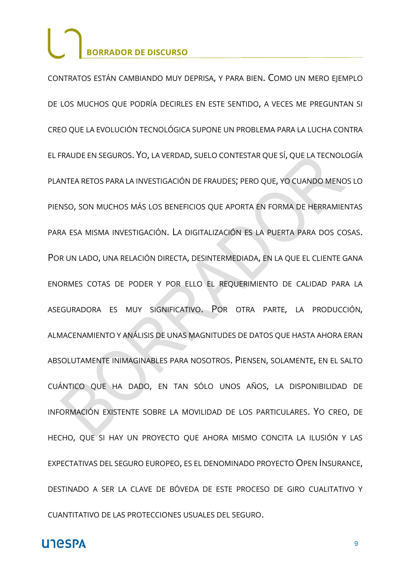CONTRATOS ESTÁN CAMBIANDO MUY DEPRISA, Y PARA BIEN. COMO UN MERO EJEMPLO DE LOS MUCHOS QUE PODRÍA DECIRLES EN ESTE SENTIDO, A VECES ME PREGUNTAN SI CREO QUE LA EVOLUCIÓN TECNOLÓGICA SUPONE UN PROBLEMA PARA LA LUCHA CONTRA EL FRAUDE EN SEGUROS. YO, LA VERDAD, SUELO CONTESTAR QUE SÍ, QUE LA TECNOLOGÍA PLANTEA RETOS PARA LA INVESTIGACIÓN DE FRAUDES; PERO QUE, YO CUANDO MENOS LO PIENSO, SON MUCHOS MÁS LOS BENEFICIOS QUE APORTA EN FORMA DE HERRAMIENTAS PARA ESA MISMA INVESTIGACIÓN. LA DIGITALIZACIÓN ES LA PUERTA PARA DOS COSAS. POR UN LADO, UNA RELACIÓN DIRECTA, DESINTERMEDIADA, EN LA QUE EL CLIENTE GANA ENORMES COTAS DE PODER Y POR ELLO EL REQUERIMIENTO DE CALIDAD PARA LA ASEGURADORA ES MUY SIGNIFICATIVO. POR OTRA PARTE, LA PRODUCCIÓN, ALMACENAMIENTO Y ANÁLISIS DE UNAS MAGNITUDES DE DATOS QUE HASTA AHORA ERAN ABSOLUTAMENTE INIMAGINABLES PARA NOSOTROS. PIENSEN, SOLAMENTE, EN EL SALTO CUÁNTICO QUE HA DADO, EN TAN SÓLO UNOS AÑOS, LA DISPONIBILIDAD DE INFORMACIÓN EXISTENTE SOBRE LA MOVILIDAD DE LOS PARTICULARES. YO CREO, DE HECHO, QUE SI HAY UN PROYECTO QUE AHORA MISMO CONCITA LA ILUSIÓN Y LAS EXPECTATIVAS DEL SEGURO EUROPEO, ES EL DENOMINADO PROYECTO OPEN INSURANCE, DESTINADO A SER LA CLAVE DE BÓVEDA DE ESTE PROCESO DE GIRO CUALITATIVO Y CUANTITATIVO DE LAS PROTECCIONES USUALES DEL SEGURO.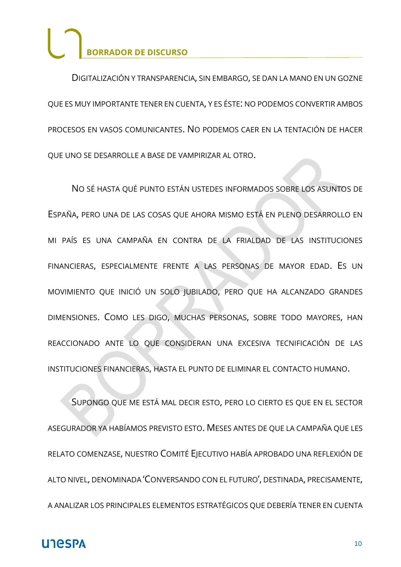DIGITALIZACIÓN Y TRANSPARENCIA, SIN EMBARGO, SE DAN LA MANO EN UN GOZNE QUE ES MUY IMPORTANTE TENER EN CUENTA, Y ES ÉSTE: NO PODEMOS CONVERTIR AMBOS PROCESOS EN VASOS COMUNICANTES. NO PODEMOS CAER EN LA TENTACIÓN DE HACER QUE UNO SE DESARROLLE A BASE DE VAMPIRIZAR AL OTRO.

NO SÉ HASTA QUÉ PUNTO ESTÁN USTEDES INFORMADOS SOBRE LOS ASUNTOS DE ESPAÑA, PERO UNA DE LAS COSAS QUE AHORA MISMO ESTÁ EN PLENO DESARROLLO EN MI PAÍS ES UNA CAMPAÑA EN CONTRA DE LA FRIALDAD DE LAS INSTITUCIONES FINANCIERAS, ESPECIALMENTE FRENTE A LAS PERSONAS DE MAYOR EDAD. ES UN MOVIMIENTO QUE INICIÓ UN SOLO JUBILADO, PERO QUE HA ALCANZADO GRANDES DIMENSIONES. COMO LES DIGO, MUCHAS PERSONAS, SOBRE TODO MAYORES, HAN REACCIONADO ANTE LO QUE CONSIDERAN UNA EXCESIVA TECNIFICACIÓN DE LAS INSTITUCIONES FINANCIERAS, HASTA EL PUNTO DE ELIMINAR EL CONTACTO HUMANO.

SUPONGO QUE ME ESTÁ MAL DECIR ESTO, PERO LO CIERTO ES QUE EN EL SECTOR ASEGURADOR YA HABÍAMOS PREVISTO ESTO. MESES ANTES DE QUE LA CAMPAÑA QUE LES RELATO COMENZASE, NUESTRO COMITÉ EJECUTIVO HABÍA APROBADO UNA REFLEXIÓN DE ALTO NIVEL, DENOMINADA 'CONVERSANDO CON EL FUTURO', DESTINADA, PRECISAMENTE, A ANALIZAR LOS PRINCIPALES ELEMENTOS ESTRATÉGICOS QUE DEBERÍA TENER EN CUENTA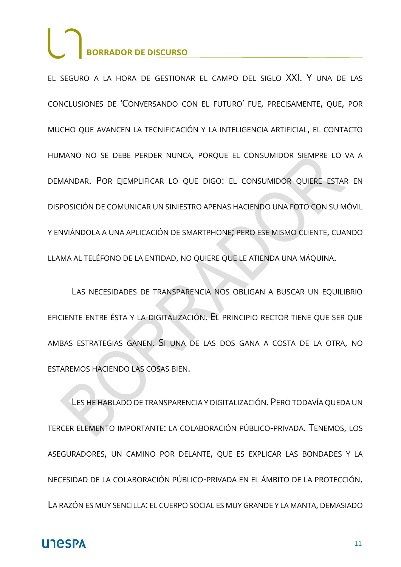EL SEGURO A LA HORA DE GESTIONAR EL CAMPO DEL SIGLO XXI. Y UNA DE LAS CONCLUSIONES DE 'CONVERSANDO CON EL FUTURO' FUE, PRECISAMENTE, QUE, POR MUCHO QUE AVANCEN LA TECNIFICACIÓN Y LA INTELIGENCIA ARTIFICIAL, EL CONTACTO HUMANO NO SE DEBE PERDER NUNCA, PORQUE EL CONSUMIDOR SIEMPRE LO VA A DEMANDAR. POR EJEMPLIFICAR LO QUE DIGO: EL CONSUMIDOR QUIERE ESTAR EN DISPOSICIÓN DE COMUNICAR UN SINIESTRO APENAS HACIENDO UNA FOTO CON SU MÓVIL Y ENVIÁNDOLA A UNA APLICACIÓN DE SMARTPHONE; PERO ESE MISMO CLIENTE, CUANDO LLAMA AL TELÉFONO DE LA ENTIDAD, NO QUIERE QUE LE ATIENDA UNA MÁQUINA.

LAS NECESIDADES DE TRANSPARENCIA NOS OBLIGAN A BUSCAR UN EQUILIBRIO EFICIENTE ENTRE ÉSTA Y LA DIGITALIZACIÓN. EL PRINCIPIO RECTOR TIENE QUE SER QUE AMBAS ESTRATEGIAS GANEN. SI UNA DE LAS DOS GANA A COSTA DE LA OTRA, NO ESTAREMOS HACIENDO LAS COSAS BIEN.

LES HE HABLADO DE TRANSPARENCIA Y DIGITALIZACIÓN. PERO TODAVÍA QUEDA UN TERCER ELEMENTO IMPORTANTE: LA COLABORACIÓN PÚBLICO-PRIVADA. TENEMOS, LOS ASEGURADORES, UN CAMINO POR DELANTE, QUE ES EXPLICAR LAS BONDADES Y LA NECESIDAD DE LA COLABORACIÓN PÚBLICO-PRIVADA EN EL ÁMBITO DE LA PROTECCIÓN. LA RAZÓN ES MUY SENCILLA: EL CUERPO SOCIAL ES MUY GRANDE Y LA MANTA, DEMASIADO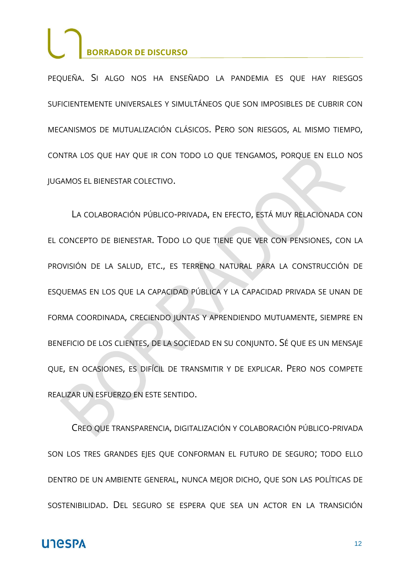PEQUEÑA. SI ALGO NOS HA ENSEÑADO LA PANDEMIA ES QUE HAY RIESGOS SUFICIENTEMENTE UNIVERSALES Y SIMULTÁNEOS QUE SON IMPOSIBLES DE CUBRIR CON MECANISMOS DE MUTUALIZACIÓN CLÁSICOS. PERO SON RIESGOS, AL MISMO TIEMPO, CONTRA LOS QUE HAY QUE IR CON TODO LO QUE TENGAMOS, PORQUE EN ELLO NOS JUGAMOS EL BIENESTAR COLECTIVO.

LA COLABORACIÓN PÚBLICO-PRIVADA, EN EFECTO, ESTÁ MUY RELACIONADA CON EL CONCEPTO DE BIENESTAR. TODO LO QUE TIENE QUE VER CON PENSIONES, CON LA PROVISIÓN DE LA SALUD, ETC., ES TERRENO NATURAL PARA LA CONSTRUCCIÓN DE ESQUEMAS EN LOS QUE LA CAPACIDAD PÚBLICA Y LA CAPACIDAD PRIVADA SE UNAN DE FORMA COORDINADA, CRECIENDO JUNTAS Y APRENDIENDO MUTUAMENTE, SIEMPRE EN BENEFICIO DE LOS CLIENTES, DE LA SOCIEDAD EN SU CONJUNTO. SÉ QUE ES UN MENSAJE QUE, EN OCASIONES, ES DIFÍCIL DE TRANSMITIR Y DE EXPLICAR. PERO NOS COMPETE REALIZAR UN ESFUERZO EN ESTE SENTIDO.

CREO QUE TRANSPARENCIA, DIGITALIZACIÓN Y COLABORACIÓN PÚBLICO-PRIVADA SON LOS TRES GRANDES EJES QUE CONFORMAN EL FUTURO DE SEGURO; TODO ELLO DENTRO DE UN AMBIENTE GENERAL, NUNCA MEJOR DICHO, QUE SON LAS POLÍTICAS DE SOSTENIBILIDAD. DEL SEGURO SE ESPERA QUE SEA UN ACTOR EN LA TRANSICIÓN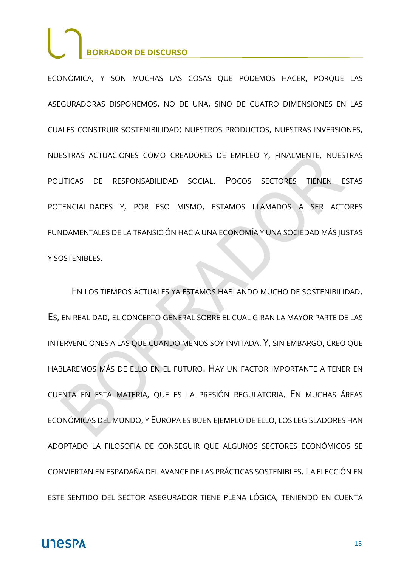ECONÓMICA, Y SON MUCHAS LAS COSAS QUE PODEMOS HACER, PORQUE LAS ASEGURADORAS DISPONEMOS, NO DE UNA, SINO DE CUATRO DIMENSIONES EN LAS CUALES CONSTRUIR SOSTENIBILIDAD: NUESTROS PRODUCTOS, NUESTRAS INVERSIONES, NUESTRAS ACTUACIONES COMO CREADORES DE EMPLEO Y, FINALMENTE, NUESTRAS POLÍTICAS DE RESPONSABILIDAD SOCIAL. POCOS SECTORES TIENEN ESTAS POTENCIALIDADES Y, POR ESO MISMO, ESTAMOS LLAMADOS A SER ACTORES FUNDAMENTALES DE LA TRANSICIÓN HACIA UNA ECONOMÍA Y UNA SOCIEDAD MÁS JUSTAS Y SOSTENIBLES.

EN LOS TIEMPOS ACTUALES YA ESTAMOS HABLANDO MUCHO DE SOSTENIBILIDAD. ES, EN REALIDAD, EL CONCEPTO GENERAL SOBRE EL CUAL GIRAN LA MAYOR PARTE DE LAS INTERVENCIONES A LAS QUE CUANDO MENOS SOY INVITADA. Y, SIN EMBARGO, CREO QUE HABLAREMOS MÁS DE ELLO EN EL FUTURO. HAY UN FACTOR IMPORTANTE A TENER EN CUENTA EN ESTA MATERIA, QUE ES LA PRESIÓN REGULATORIA. EN MUCHAS ÁREAS ECONÓMICAS DEL MUNDO, Y EUROPA ES BUEN EJEMPLO DE ELLO, LOS LEGISLADORES HAN ADOPTADO LA FILOSOFÍA DE CONSEGUIR QUE ALGUNOS SECTORES ECONÓMICOS SE CONVIERTAN EN ESPADAÑA DEL AVANCE DE LAS PRÁCTICAS SOSTENIBLES. LA ELECCIÓN EN ESTE SENTIDO DEL SECTOR ASEGURADOR TIENE PLENA LÓGICA, TENIENDO EN CUENTA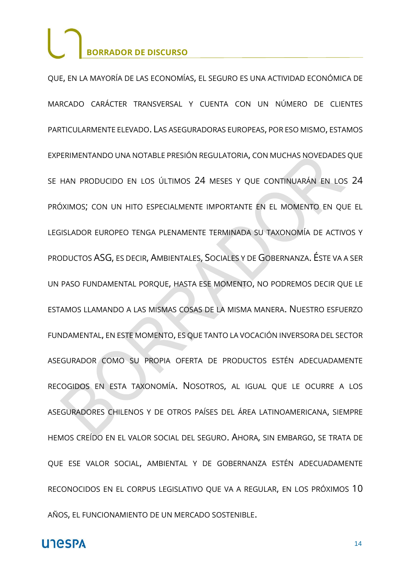QUE, EN LA MAYORÍA DE LAS ECONOMÍAS, EL SEGURO ES UNA ACTIVIDAD ECONÓMICA DE MARCADO CARÁCTER TRANSVERSAL Y CUENTA CON UN NÚMERO DE CLIENTES PARTICULARMENTE ELEVADO. LAS ASEGURADORAS EUROPEAS, POR ESO MISMO, ESTAMOS EXPERIMENTANDO UNA NOTABLE PRESIÓN REGULATORIA, CON MUCHAS NOVEDADES QUE SE HAN PRODUCIDO EN LOS ÚLTIMOS 24 MESES Y QUE CONTINUARÁN EN LOS 24 PRÓXIMOS; CON UN HITO ESPECIALMENTE IMPORTANTE EN EL MOMENTO EN QUE EL LEGISLADOR EUROPEO TENGA PLENAMENTE TERMINADA SU TAXONOMÍA DE ACTIVOS Y PRODUCTOS ASG, ES DECIR, AMBIENTALES, SOCIALES Y DE GOBERNANZA. ÉSTE VA A SER UN PASO FUNDAMENTAL PORQUE, HASTA ESE MOMENTO, NO PODREMOS DECIR QUE LE ESTAMOS LLAMANDO A LAS MISMAS COSAS DE LA MISMA MANERA. NUESTRO ESFUERZO FUNDAMENTAL, EN ESTE MOMENTO, ES QUE TANTO LA VOCACIÓN INVERSORA DEL SECTOR ASEGURADOR COMO SU PROPIA OFERTA DE PRODUCTOS ESTÉN ADECUADAMENTE RECOGIDOS EN ESTA TAXONOMÍA. NOSOTROS, AL IGUAL QUE LE OCURRE A LOS ASEGURADORES CHILENOS Y DE OTROS PAÍSES DEL ÁREA LATINOAMERICANA, SIEMPRE HEMOS CREÍDO EN EL VALOR SOCIAL DEL SEGURO. AHORA, SIN EMBARGO, SE TRATA DE QUE ESE VALOR SOCIAL, AMBIENTAL Y DE GOBERNANZA ESTÉN ADECUADAMENTE RECONOCIDOS EN EL CORPUS LEGISLATIVO QUE VA A REGULAR, EN LOS PRÓXIMOS 10 AÑOS, EL FUNCIONAMIENTO DE UN MERCADO SOSTENIBLE.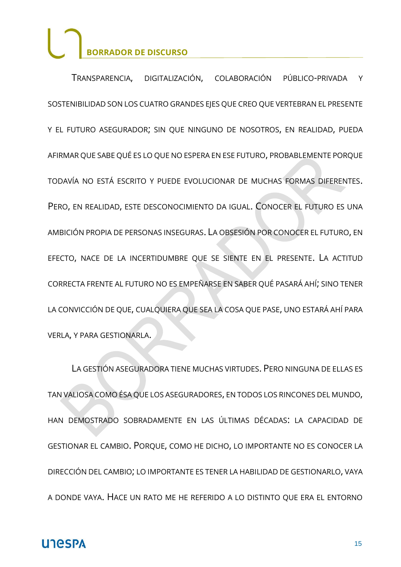TRANSPARENCIA, DIGITALIZACIÓN, COLABORACIÓN PÚBLICO-PRIVADA Y SOSTENIBILIDAD SON LOS CUATRO GRANDES EJES QUE CREO QUE VERTEBRAN EL PRESENTE Y EL FUTURO ASEGURADOR; SIN QUE NINGUNO DE NOSOTROS, EN REALIDAD, PUEDA AFIRMAR QUE SABE QUÉ ES LO QUE NO ESPERA EN ESE FUTURO, PROBABLEMENTE PORQUE TODAVÍA NO ESTÁ ESCRITO Y PUEDE EVOLUCIONAR DE MUCHAS FORMAS DIFERENTES. PERO, EN REALIDAD, ESTE DESCONOCIMIENTO DA IGUAL. CONOCER EL FUTURO ES UNA AMBICIÓN PROPIA DE PERSONAS INSEGURAS. LA OBSESIÓN POR CONOCER EL FUTURO, EN EFECTO, NACE DE LA INCERTIDUMBRE QUE SE SIENTE EN EL PRESENTE. LA ACTITUD CORRECTA FRENTE AL FUTURO NO ES EMPEÑARSE EN SABER QUÉ PASARÁ AHÍ; SINO TENER LA CONVICCIÓN DE QUE, CUALQUIERA QUE SEA LA COSA QUE PASE, UNO ESTARÁ AHÍ PARA VERLA, Y PARA GESTIONARLA.

LA GESTIÓN ASEGURADORA TIENE MUCHAS VIRTUDES. PERO NINGUNA DE ELLAS ES TAN VALIOSA COMO ÉSA QUE LOS ASEGURADORES, EN TODOS LOS RINCONES DEL MUNDO, HAN DEMOSTRADO SOBRADAMENTE EN LAS ÚLTIMAS DÉCADAS: LA CAPACIDAD DE GESTIONAR EL CAMBIO. PORQUE, COMO HE DICHO, LO IMPORTANTE NO ES CONOCER LA DIRECCIÓN DEL CAMBIO; LO IMPORTANTE ES TENER LA HABILIDAD DE GESTIONARLO, VAYA A DONDE VAYA. HACE UN RATO ME HE REFERIDO A LO DISTINTO QUE ERA EL ENTORNO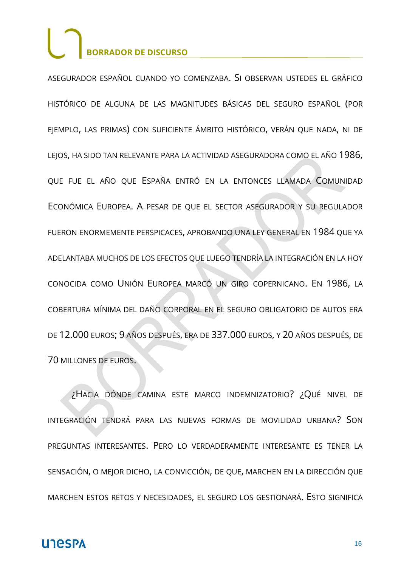ASEGURADOR ESPAÑOL CUANDO YO COMENZABA. SI OBSERVAN USTEDES EL GRÁFICO HISTÓRICO DE ALGUNA DE LAS MAGNITUDES BÁSICAS DEL SEGURO ESPAÑOL (POR EJEMPLO, LAS PRIMAS) CON SUFICIENTE ÁMBITO HISTÓRICO, VERÁN QUE NADA, NI DE LEJOS, HA SIDO TAN RELEVANTE PARA LA ACTIVIDAD ASEGURADORA COMO EL AÑO 1986, QUE FUE EL AÑO QUE ESPAÑA ENTRÓ EN LA ENTONCES LLAMADA COMUNIDAD ECONÓMICA EUROPEA. A PESAR DE QUE EL SECTOR ASEGURADOR Y SU REGULADOR FUERON ENORMEMENTE PERSPICACES, APROBANDO UNA LEY GENERAL EN 1984 QUE YA ADELANTABA MUCHOS DE LOS EFECTOS QUE LUEGO TENDRÍA LA INTEGRACIÓN EN LA HOY CONOCIDA COMO UNIÓN EUROPEA MARCÓ UN GIRO COPERNICANO. EN 1986, LA COBERTURA MÍNIMA DEL DAÑO CORPORAL EN EL SEGURO OBLIGATORIO DE AUTOS ERA DE 12.000 EUROS; 9 AÑOS DESPUÉS, ERA DE 337.000 EUROS, Y 20 AÑOS DESPUÉS, DE 70 MILLONES DE EUROS.

¿HACIA DÓNDE CAMINA ESTE MARCO INDEMNIZATORIO? ¿QUÉ NIVEL DE INTEGRACIÓN TENDRÁ PARA LAS NUEVAS FORMAS DE MOVILIDAD URBANA? SON PREGUNTAS INTERESANTES. PERO LO VERDADERAMENTE INTERESANTE ES TENER LA SENSACIÓN, O MEJOR DICHO, LA CONVICCIÓN, DE QUE, MARCHEN EN LA DIRECCIÓN QUE MARCHEN ESTOS RETOS Y NECESIDADES, EL SEGURO LOS GESTIONARÁ. ESTO SIGNIFICA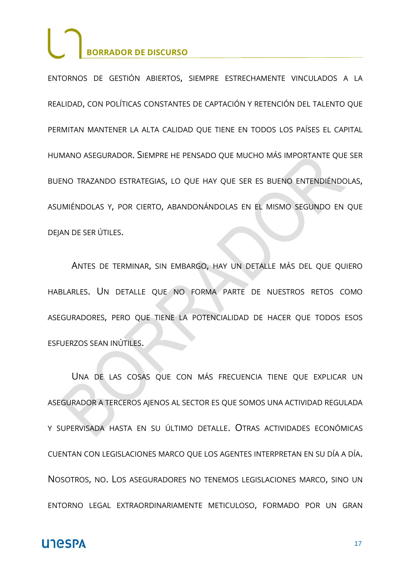ENTORNOS DE GESTIÓN ABIERTOS, SIEMPRE ESTRECHAMENTE VINCULADOS A LA REALIDAD, CON POLÍTICAS CONSTANTES DE CAPTACIÓN Y RETENCIÓN DEL TALENTO QUE PERMITAN MANTENER LA ALTA CALIDAD QUE TIENE EN TODOS LOS PAÍSES EL CAPITAL HUMANO ASEGURADOR. SIEMPRE HE PENSADO QUE MUCHO MÁS IMPORTANTE QUE SER BUENO TRAZANDO ESTRATEGIAS, LO QUE HAY QUE SER ES BUENO ENTENDIÉNDOLAS, ASUMIÉNDOLAS Y, POR CIERTO, ABANDONÁNDOLAS EN EL MISMO SEGUNDO EN QUE DEJAN DE SER ÚTILES.

ANTES DE TERMINAR, SIN EMBARGO, HAY UN DETALLE MÁS DEL QUE QUIERO HABLARLES. UN DETALLE QUE NO FORMA PARTE DE NUESTROS RETOS COMO ASEGURADORES, PERO QUE TIENE LA POTENCIALIDAD DE HACER QUE TODOS ESOS ESFUERZOS SEAN INÚTILES.

UNA DE LAS COSAS QUE CON MÁS FRECUENCIA TIENE QUE EXPLICAR UN ASEGURADOR A TERCEROS AJENOS AL SECTOR ES QUE SOMOS UNA ACTIVIDAD REGULADA Y SUPERVISADA HASTA EN SU ÚLTIMO DETALLE. OTRAS ACTIVIDADES ECONÓMICAS CUENTAN CON LEGISLACIONES MARCO QUE LOS AGENTES INTERPRETAN EN SU DÍA A DÍA. NOSOTROS, NO. LOS ASEGURADORES NO TENEMOS LEGISLACIONES MARCO, SINO UN ENTORNO LEGAL EXTRAORDINARIAMENTE METICULOSO, FORMADO POR UN GRAN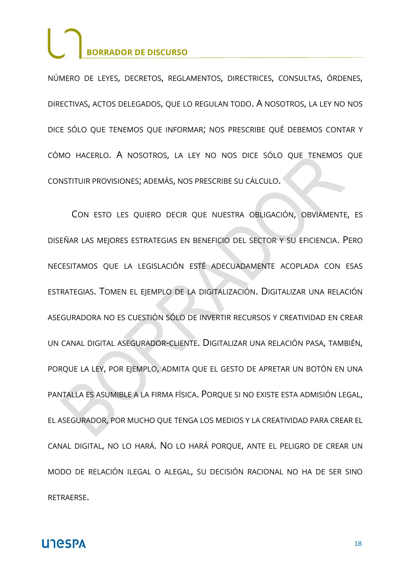NÚMERO DE LEYES, DECRETOS, REGLAMENTOS, DIRECTRICES, CONSULTAS, ÓRDENES, DIRECTIVAS, ACTOS DELEGADOS, QUE LO REGULAN TODO. A NOSOTROS, LA LEY NO NOS DICE SÓLO QUE TENEMOS QUE INFORMAR; NOS PRESCRIBE QUÉ DEBEMOS CONTAR Y CÓMO HACERLO. A NOSOTROS, LA LEY NO NOS DICE SÓLO QUE TENEMOS QUE CONSTITUIR PROVISIONES; ADEMÁS, NOS PRESCRIBE SU CÁLCULO.

CON ESTO LES QUIERO DECIR QUE NUESTRA OBLIGACIÓN, OBVIAMENTE, ES DISEÑAR LAS MEJORES ESTRATEGIAS EN BENEFICIO DEL SECTOR Y SU EFICIENCIA. PERO NECESITAMOS QUE LA LEGISLACIÓN ESTÉ ADECUADAMENTE ACOPLADA CON ESAS ESTRATEGIAS. TOMEN EL EJEMPLO DE LA DIGITALIZACIÓN. DIGITALIZAR UNA RELACIÓN ASEGURADORA NO ES CUESTIÓN SÓLO DE INVERTIR RECURSOS Y CREATIVIDAD EN CREAR UN CANAL DIGITAL ASEGURADOR-CLIENTE. DIGITALIZAR UNA RELACIÓN PASA, TAMBIÉN, PORQUE LA LEY, POR EJEMPLO, ADMITA QUE EL GESTO DE APRETAR UN BOTÓN EN UNA PANTALLA ES ASUMIBLE A LA FIRMA FÍSICA. PORQUE SI NO EXISTE ESTA ADMISIÓN LEGAL, EL ASEGURADOR, POR MUCHO QUE TENGA LOS MEDIOS Y LA CREATIVIDAD PARA CREAR EL CANAL DIGITAL, NO LO HARÁ. NO LO HARÁ PORQUE, ANTE EL PELIGRO DE CREAR UN MODO DE RELACIÓN ILEGAL O ALEGAL, SU DECISIÓN RACIONAL NO HA DE SER SINO RETRAERSE.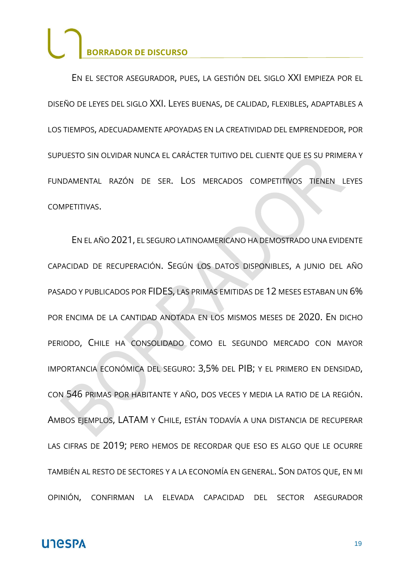EN EL SECTOR ASEGURADOR, PUES, LA GESTIÓN DEL SIGLO XXI EMPIEZA POR EL DISEÑO DE LEYES DEL SIGLO XXI. LEYES BUENAS, DE CALIDAD, FLEXIBLES, ADAPTABLES A LOS TIEMPOS, ADECUADAMENTE APOYADAS EN LA CREATIVIDAD DEL EMPRENDEDOR, POR SUPUESTO SIN OLVIDAR NUNCA EL CARÁCTER TUITIVO DEL CLIENTE QUE ES SU PRIMERA Y FUNDAMENTAL RAZÓN DE SER. LOS MERCADOS COMPETITIVOS TIENEN LEYES COMPETITIVAS.

EN EL AÑO 2021, EL SEGURO LATINOAMERICANO HA DEMOSTRADO UNA EVIDENTE CAPACIDAD DE RECUPERACIÓN. SEGÚN LOS DATOS DISPONIBLES, A JUNIO DEL AÑO PASADO Y PUBLICADOS POR FIDES, LAS PRIMAS EMITIDAS DE 12 MESES ESTABAN UN 6% POR ENCIMA DE LA CANTIDAD ANOTADA EN LOS MISMOS MESES DE 2020. EN DICHO PERIODO, CHILE HA CONSOLIDADO COMO EL SEGUNDO MERCADO CON MAYOR IMPORTANCIA ECONÓMICA DEL SEGURO: 3,5% DEL PIB; Y EL PRIMERO EN DENSIDAD, CON 546 PRIMAS POR HABITANTE Y AÑO, DOS VECES Y MEDIA LA RATIO DE LA REGIÓN. AMBOS EJEMPLOS, LATAM Y CHILE, ESTÁN TODAVÍA A UNA DISTANCIA DE RECUPERAR LAS CIFRAS DE 2019; PERO HEMOS DE RECORDAR QUE ESO ES ALGO QUE LE OCURRE TAMBIÉN AL RESTO DE SECTORES Y A LA ECONOMÍA EN GENERAL. SON DATOS QUE, EN MI OPINIÓN, CONFIRMAN LA ELEVADA CAPACIDAD DEL SECTOR ASEGURADOR